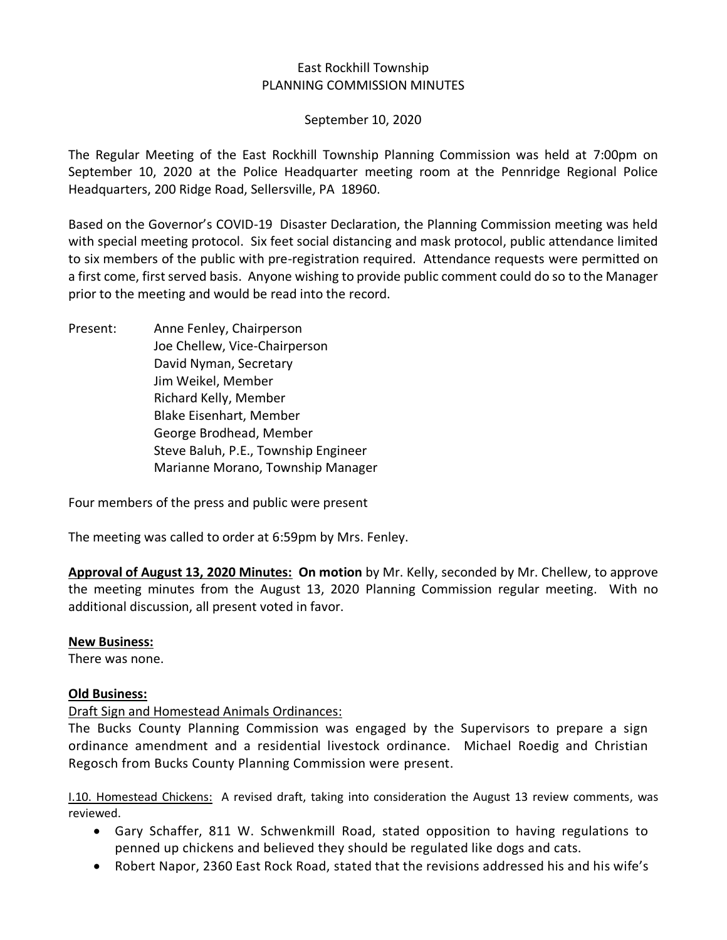## East Rockhill Township PLANNING COMMISSION MINUTES

September 10, 2020

The Regular Meeting of the East Rockhill Township Planning Commission was held at 7:00pm on September 10, 2020 at the Police Headquarter meeting room at the Pennridge Regional Police Headquarters, 200 Ridge Road, Sellersville, PA 18960.

Based on the Governor's COVID-19 Disaster Declaration, the Planning Commission meeting was held with special meeting protocol. Six feet social distancing and mask protocol, public attendance limited to six members of the public with pre-registration required. Attendance requests were permitted on a first come, first served basis. Anyone wishing to provide public comment could do so to the Manager prior to the meeting and would be read into the record.

Present: Anne Fenley, Chairperson Joe Chellew, Vice-Chairperson David Nyman, Secretary Jim Weikel, Member Richard Kelly, Member Blake Eisenhart, Member George Brodhead, Member Steve Baluh, P.E., Township Engineer Marianne Morano, Township Manager

Four members of the press and public were present

The meeting was called to order at 6:59pm by Mrs. Fenley.

**Approval of August 13, 2020 Minutes: On motion** by Mr. Kelly, seconded by Mr. Chellew, to approve the meeting minutes from the August 13, 2020 Planning Commission regular meeting. With no additional discussion, all present voted in favor.

### **New Business:**

There was none.

### **Old Business:**

### Draft Sign and Homestead Animals Ordinances:

The Bucks County Planning Commission was engaged by the Supervisors to prepare a sign ordinance amendment and a residential livestock ordinance. Michael Roedig and Christian Regosch from Bucks County Planning Commission were present.

I.10. Homestead Chickens: A revised draft, taking into consideration the August 13 review comments, was reviewed.

- Gary Schaffer, 811 W. Schwenkmill Road, stated opposition to having regulations to penned up chickens and believed they should be regulated like dogs and cats.
- Robert Napor, 2360 East Rock Road, stated that the revisions addressed his and his wife's